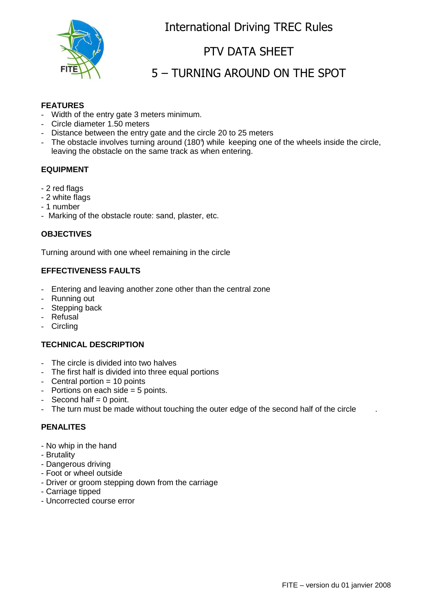

## International Driving TREC Rules

## PTV DATA SHEET

# 5 – TURNING AROUND ON THE SPOT

## **FEATURES**

- Width of the entry gate 3 meters minimum.
- Circle diameter 1.50 meters
- Distance between the entry gate and the circle 20 to 25 meters
- The obstacle involves turning around (180°) while keeping one of the wheels inside the circle, leaving the obstacle on the same track as when entering.

### **EQUIPMENT**

- 2 red flags
- 2 white flags
- 1 number
- Marking of the obstacle route: sand, plaster, etc.

#### **OBJECTIVES**

Turning around with one wheel remaining in the circle

#### **EFFECTIVENESS FAULTS**

- Entering and leaving another zone other than the central zone
- Running out
- Stepping back
- Refusal
- Circling

#### **TECHNICAL DESCRIPTION**

- The circle is divided into two halves
- The first half is divided into three equal portions
- $-$  Central portion  $= 10$  points
- Portions on each side  $= 5$  points.
- $-$  Second half  $= 0$  point.
- The turn must be made without touching the outer edge of the second half of the circle

### **PENALITES**

- No whip in the hand
- Brutality
- Dangerous driving
- Foot or wheel outside
- Driver or groom stepping down from the carriage
- Carriage tipped
- Uncorrected course error